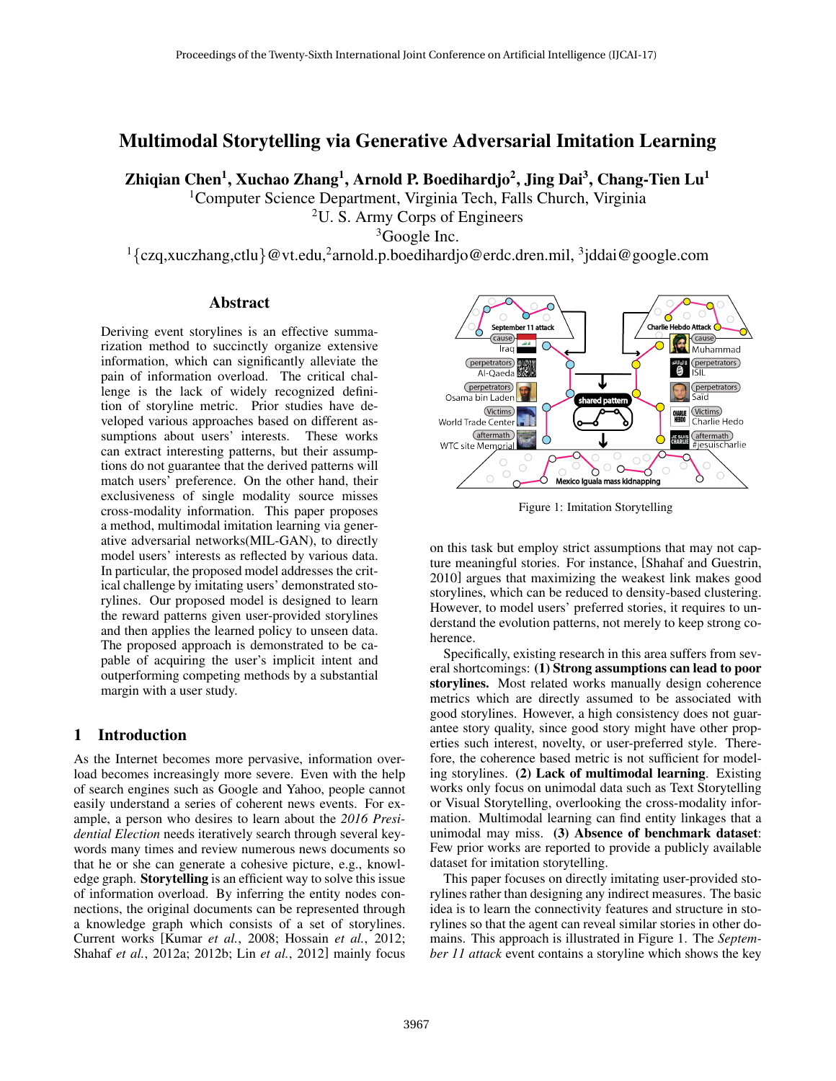# Multimodal Storytelling via Generative Adversarial Imitation Learning

Zhiqian Chen $^1$ , Xuchao Zhang $^1$ , Arnold P. Boedihardjo $^2$ , Jing Dai $^3$ , Chang-Tien Lu $^1$ 

<sup>1</sup>Computer Science Department, Virginia Tech, Falls Church, Virginia

 $2U$ . S. Army Corps of Engineers

<sup>3</sup>Google Inc.

 $1$ {czq,xuczhang,ctlu} @ vt.edu,<sup>2</sup> arnold.p.boedihardjo@erdc.dren.mil,  $3$ jddai@google.com

## Abstract

Deriving event storylines is an effective summarization method to succinctly organize extensive information, which can significantly alleviate the pain of information overload. The critical challenge is the lack of widely recognized definition of storyline metric. Prior studies have developed various approaches based on different assumptions about users' interests. These works can extract interesting patterns, but their assumptions do not guarantee that the derived patterns will match users' preference. On the other hand, their exclusiveness of single modality source misses cross-modality information. This paper proposes a method, multimodal imitation learning via generative adversarial networks(MIL-GAN), to directly model users' interests as reflected by various data. In particular, the proposed model addresses the critical challenge by imitating users' demonstrated storylines. Our proposed model is designed to learn the reward patterns given user-provided storylines and then applies the learned policy to unseen data. The proposed approach is demonstrated to be capable of acquiring the user's implicit intent and outperforming competing methods by a substantial margin with a user study.

## 1 Introduction

As the Internet becomes more pervasive, information overload becomes increasingly more severe. Even with the help of search engines such as Google and Yahoo, people cannot easily understand a series of coherent news events. For example, a person who desires to learn about the *2016 Presidential Election* needs iteratively search through several keywords many times and review numerous news documents so that he or she can generate a cohesive picture, e.g., knowledge graph. Storytelling is an efficient way to solve this issue of information overload. By inferring the entity nodes connections, the original documents can be represented through a knowledge graph which consists of a set of storylines. Current works [Kumar *et al.*, 2008; Hossain *et al.*, 2012; Shahaf *et al.*, 2012a; 2012b; Lin *et al.*, 2012] mainly focus



Figure 1: Imitation Storytelling

on this task but employ strict assumptions that may not capture meaningful stories. For instance, [Shahaf and Guestrin, 2010] argues that maximizing the weakest link makes good storylines, which can be reduced to density-based clustering. However, to model users' preferred stories, it requires to understand the evolution patterns, not merely to keep strong coherence.

Specifically, existing research in this area suffers from several shortcomings: (1) Strong assumptions can lead to poor storylines. Most related works manually design coherence metrics which are directly assumed to be associated with good storylines. However, a high consistency does not guarantee story quality, since good story might have other properties such interest, novelty, or user-preferred style. Therefore, the coherence based metric is not sufficient for modeling storylines. (2) Lack of multimodal learning. Existing works only focus on unimodal data such as Text Storytelling or Visual Storytelling, overlooking the cross-modality information. Multimodal learning can find entity linkages that a unimodal may miss. (3) Absence of benchmark dataset: Few prior works are reported to provide a publicly available dataset for imitation storytelling.

This paper focuses on directly imitating user-provided storylines rather than designing any indirect measures. The basic idea is to learn the connectivity features and structure in storylines so that the agent can reveal similar stories in other domains. This approach is illustrated in Figure 1. The *September 11 attack* event contains a storyline which shows the key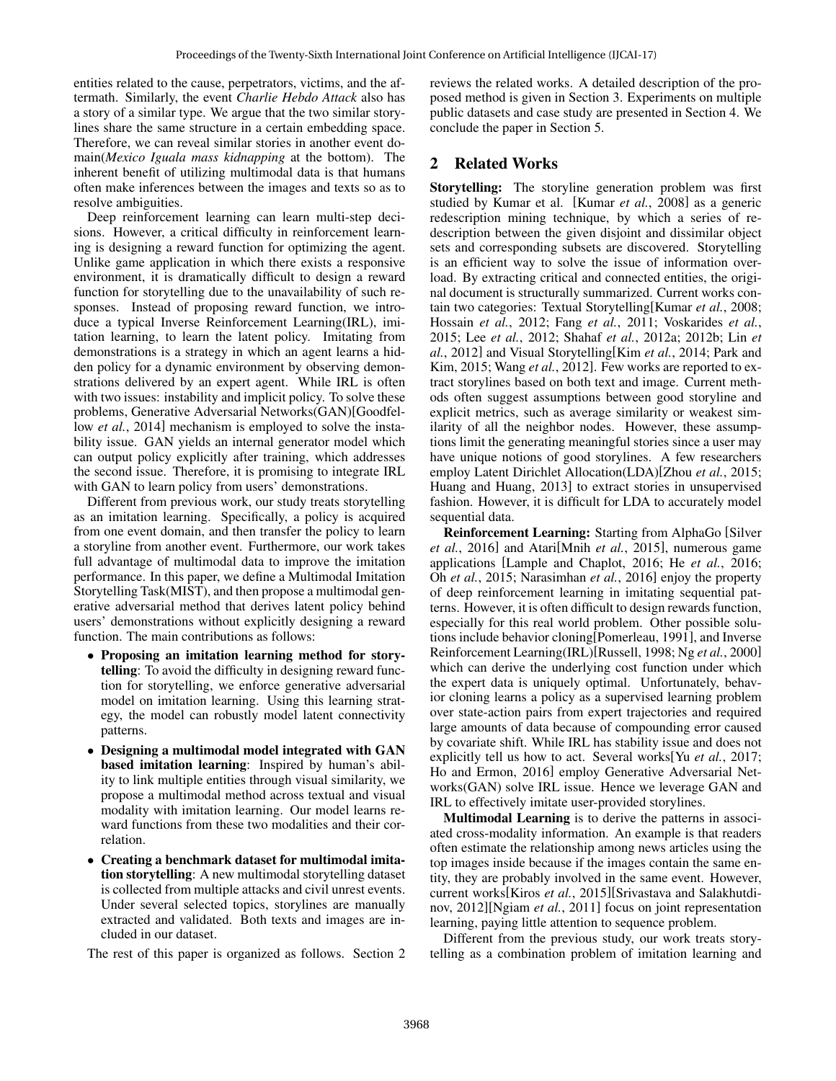entities related to the cause, perpetrators, victims, and the aftermath. Similarly, the event *Charlie Hebdo Attack* also has a story of a similar type. We argue that the two similar storylines share the same structure in a certain embedding space. Therefore, we can reveal similar stories in another event domain(*Mexico Iguala mass kidnapping* at the bottom). The inherent benefit of utilizing multimodal data is that humans often make inferences between the images and texts so as to resolve ambiguities.

Deep reinforcement learning can learn multi-step decisions. However, a critical difficulty in reinforcement learning is designing a reward function for optimizing the agent. Unlike game application in which there exists a responsive environment, it is dramatically difficult to design a reward function for storytelling due to the unavailability of such responses. Instead of proposing reward function, we introduce a typical Inverse Reinforcement Learning(IRL), imitation learning, to learn the latent policy. Imitating from demonstrations is a strategy in which an agent learns a hidden policy for a dynamic environment by observing demonstrations delivered by an expert agent. While IRL is often with two issues: instability and implicit policy. To solve these problems, Generative Adversarial Networks(GAN)[Goodfellow *et al.*, 2014] mechanism is employed to solve the instability issue. GAN yields an internal generator model which can output policy explicitly after training, which addresses the second issue. Therefore, it is promising to integrate IRL with GAN to learn policy from users' demonstrations.

Different from previous work, our study treats storytelling as an imitation learning. Specifically, a policy is acquired from one event domain, and then transfer the policy to learn a storyline from another event. Furthermore, our work takes full advantage of multimodal data to improve the imitation performance. In this paper, we define a Multimodal Imitation Storytelling Task(MIST), and then propose a multimodal generative adversarial method that derives latent policy behind users' demonstrations without explicitly designing a reward function. The main contributions as follows:

- Proposing an imitation learning method for storytelling: To avoid the difficulty in designing reward function for storytelling, we enforce generative adversarial model on imitation learning. Using this learning strategy, the model can robustly model latent connectivity patterns.
- Designing a multimodal model integrated with GAN based imitation learning: Inspired by human's ability to link multiple entities through visual similarity, we propose a multimodal method across textual and visual modality with imitation learning. Our model learns reward functions from these two modalities and their correlation.
- Creating a benchmark dataset for multimodal imitation storytelling: A new multimodal storytelling dataset is collected from multiple attacks and civil unrest events. Under several selected topics, storylines are manually extracted and validated. Both texts and images are included in our dataset.

The rest of this paper is organized as follows. Section 2

reviews the related works. A detailed description of the proposed method is given in Section 3. Experiments on multiple public datasets and case study are presented in Section 4. We conclude the paper in Section 5.

## 2 Related Works

Storytelling: The storyline generation problem was first studied by Kumar et al. [Kumar *et al.*, 2008] as a generic redescription mining technique, by which a series of redescription between the given disjoint and dissimilar object sets and corresponding subsets are discovered. Storytelling is an efficient way to solve the issue of information overload. By extracting critical and connected entities, the original document is structurally summarized. Current works contain two categories: Textual Storytelling[Kumar *et al.*, 2008; Hossain *et al.*, 2012; Fang *et al.*, 2011; Voskarides *et al.*, 2015; Lee *et al.*, 2012; Shahaf *et al.*, 2012a; 2012b; Lin *et al.*, 2012] and Visual Storytelling[Kim *et al.*, 2014; Park and Kim, 2015; Wang *et al.*, 2012]. Few works are reported to extract storylines based on both text and image. Current methods often suggest assumptions between good storyline and explicit metrics, such as average similarity or weakest similarity of all the neighbor nodes. However, these assumptions limit the generating meaningful stories since a user may have unique notions of good storylines. A few researchers employ Latent Dirichlet Allocation(LDA)[Zhou *et al.*, 2015; Huang and Huang, 2013] to extract stories in unsupervised fashion. However, it is difficult for LDA to accurately model sequential data.

Reinforcement Learning: Starting from AlphaGo [Silver *et al.*, 2016] and Atari[Mnih *et al.*, 2015], numerous game applications [Lample and Chaplot, 2016; He *et al.*, 2016; Oh *et al.*, 2015; Narasimhan *et al.*, 2016] enjoy the property of deep reinforcement learning in imitating sequential patterns. However, it is often difficult to design rewards function, especially for this real world problem. Other possible solutions include behavior cloning[Pomerleau, 1991], and Inverse Reinforcement Learning(IRL)[Russell, 1998; Ng *et al.*, 2000] which can derive the underlying cost function under which the expert data is uniquely optimal. Unfortunately, behavior cloning learns a policy as a supervised learning problem over state-action pairs from expert trajectories and required large amounts of data because of compounding error caused by covariate shift. While IRL has stability issue and does not explicitly tell us how to act. Several works[Yu *et al.*, 2017; Ho and Ermon, 2016] employ Generative Adversarial Networks(GAN) solve IRL issue. Hence we leverage GAN and IRL to effectively imitate user-provided storylines.

Multimodal Learning is to derive the patterns in associated cross-modality information. An example is that readers often estimate the relationship among news articles using the top images inside because if the images contain the same entity, they are probably involved in the same event. However, current works[Kiros *et al.*, 2015][Srivastava and Salakhutdinov, 2012][Ngiam *et al.*, 2011] focus on joint representation learning, paying little attention to sequence problem.

Different from the previous study, our work treats storytelling as a combination problem of imitation learning and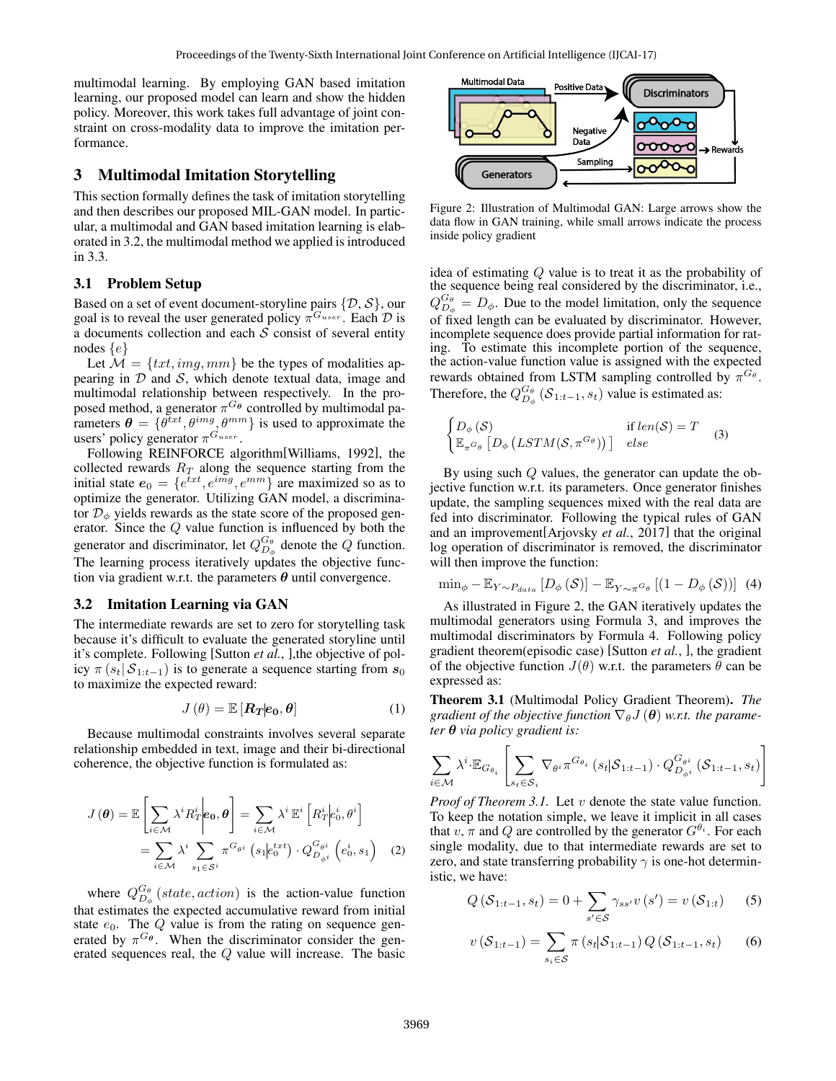multimodal learning. By employing GAN based imitation learning, our proposed model can learn and show the hidden policy. Moreover, this work takes full advantage of joint constraint on cross-modality data to improve the imitation performance.

## 3 Multimodal Imitation Storytelling

This section formally defines the task of imitation storytelling and then describes our proposed MIL-GAN model. In particular, a multimodal and GAN based imitation learning is elaborated in 3.2, the multimodal method we applied is introduced in 3.3.

#### 3.1 Problem Setup

Based on a set of event document-storyline pairs  $\{\mathcal{D}, \mathcal{S}\}\)$ , our goal is to reveal the user generated policy  $\pi^{G_{user}}$ . Each  $\mathcal D$  is a documents collection and each  $S$  consist of several entity nodes  $\{e\}$ 

Let  $\mathcal{M} = \{txt, img, mm\}$  be the types of modalities appearing in  $D$  and  $S$ , which denote textual data, image and multimodal relationship between respectively. In the proposed method, a generator  $\pi^{G_{\theta}}$  controlled by multimodal parameters  $\theta = \{\theta^{txt}, \theta^{img}, \theta^{mm}\}\$ is used to approximate the users' policy generator  $\pi^{G_{user}}$ .

Following REINFORCE algorithm[Williams, 1992], the collected rewards  $R_T$  along the sequence starting from the initial state  $e_0 = \{e^{txt}, e^{img}, e^{mm}\}\$ are maximized so as to optimize the generator. Utilizing GAN model, a discriminator  $\mathcal{D}_{\phi}$  yields rewards as the state score of the proposed generator. Since the Q value function is influenced by both the generator and discriminator, let  $Q_{D_{\phi}}^{G_{\theta}}$  denote the Q function. The learning process iteratively updates the objective function via gradient w.r.t. the parameters  $\theta$  until convergence.

#### 3.2 Imitation Learning via GAN

The intermediate rewards are set to zero for storytelling task because it's difficult to evaluate the generated storyline until it's complete. Following [Sutton *et al.*, ],the objective of policy  $\pi(s_t | S_{1:t-1})$  is to generate a sequence starting from  $s_0$ to maximize the expected reward:

$$
J(\theta) = \mathbb{E}\left[\mathbf{R}_T | \mathbf{e}_0, \theta\right] \tag{1}
$$

Because multimodal constraints involves several separate relationship embedded in text, image and their bi-directional coherence, the objective function is formulated as:

$$
J(\boldsymbol{\theta}) = \mathbb{E}\left[\sum_{i \in \mathcal{M}} \lambda^i R_T^i \middle| \mathbf{e_0}, \boldsymbol{\theta}\right] = \sum_{i \in \mathcal{M}} \lambda^i \mathbb{E}^i \left[R_T^i \middle| \mathbf{e_0}^i, \boldsymbol{\theta}^i\right] \\
= \sum_{i \in \mathcal{M}} \lambda^i \sum_{s_1 \in S^i} \pi^{G_{\theta^i}} \left(s_1 \middle| \mathbf{e_0}^{t \times t}\right) \cdot Q_{D_{\phi^i}}^{G_{\theta^i}} \left(e_0^i, s_1\right) \quad (2)
$$

where  $Q_{D_{\phi}}^{G_{\theta}}$  (*state, action*) is the action-value function that estimates the expected accumulative reward from initial state  $e_0$ . The Q value is from the rating on sequence generated by  $\pi^{G_{\theta}}$ . When the discriminator consider the generated sequences real, the Q value will increase. The basic



Figure 2: Illustration of Multimodal GAN: Large arrows show the data flow in GAN training, while small arrows indicate the process inside policy gradient

idea of estimating Q value is to treat it as the probability of the sequence being real considered by the discriminator, i.e.,  $Q_{D_{\phi}}^{G_{\theta}} = D_{\phi}$ . Due to the model limitation, only the sequence of fixed length can be evaluated by discriminator. However, incomplete sequence does provide partial information for rating. To estimate this incomplete portion of the sequence, the action-value function value is assigned with the expected rewards obtained from LSTM sampling controlled by  $\pi^{G_{\theta}}$ . Therefore, the  $Q_{D_{\phi}}^{G_{\theta}}(\mathcal{S}_{1:t-1}, s_t)$  value is estimated as:

$$
\begin{cases}\nD_{\phi}(\mathcal{S}) & \text{if } len(\mathcal{S}) = T \\
\mathbb{E}_{\pi^{G_{\theta}}}\left[D_{\phi}\left(LSTM(\mathcal{S}, \pi^{G_{\theta}})\right)\right] & else\n\end{cases} \tag{3}
$$

By using such Q values, the generator can update the objective function w.r.t. its parameters. Once generator finishes update, the sampling sequences mixed with the real data are fed into discriminator. Following the typical rules of GAN and an improvement[Arjovsky *et al.*, 2017] that the original log operation of discriminator is removed, the discriminator will then improve the function:

$$
\min_{\phi} - \mathbb{E}_{Y \sim P_{data}} \left[ D_{\phi} \left( \mathcal{S} \right) \right] - \mathbb{E}_{Y \sim \pi^{G_{\theta}}} \left[ \left( 1 - D_{\phi} \left( \mathcal{S} \right) \right) \right] \tag{4}
$$

As illustrated in Figure 2, the GAN iteratively updates the multimodal generators using Formula 3, and improves the multimodal discriminators by Formula 4. Following policy gradient theorem(episodic case) [Sutton *et al.*, ], the gradient of the objective function  $J(\theta)$  w.r.t. the parameters  $\theta$  can be expressed as:

Theorem 3.1 (Multimodal Policy Gradient Theorem). *The gradient of the objective function*  $\nabla_{\theta} J(\theta)$  *w.r.t. the parameter* θ *via policy gradient is:*

$$
\sum_{i \in \mathcal{M}} \lambda^i \cdot \mathbb{E}_{G_{\theta_i}} \left[ \sum_{s_t \in \mathcal{S}_i} \nabla_{\theta^i} \pi^{G_{\theta_i}} \left( s_t | \mathcal{S}_{1:t-1} \right) \cdot Q_{D_{\phi^i}}^{G_{\theta^i}} \left( \mathcal{S}_{1:t-1}, s_t \right) \right]
$$

*Proof of Theorem 3.1.* Let v denote the state value function. To keep the notation simple, we leave it implicit in all cases that  $v, \pi$  and Q are controlled by the generator  $G^{\theta_i}$ . For each single modality, due to that intermediate rewards are set to zero, and state transferring probability  $\gamma$  is one-hot deterministic, we have:

$$
Q(S_{1:t-1}, s_t) = 0 + \sum_{s' \in S} \gamma_{ss'} v(s') = v(S_{1:t})
$$
 (5)

$$
v(S_{1:t-1}) = \sum_{s_i \in S} \pi(s_t | S_{1:t-1}) Q(S_{1:t-1}, s_t)
$$
 (6)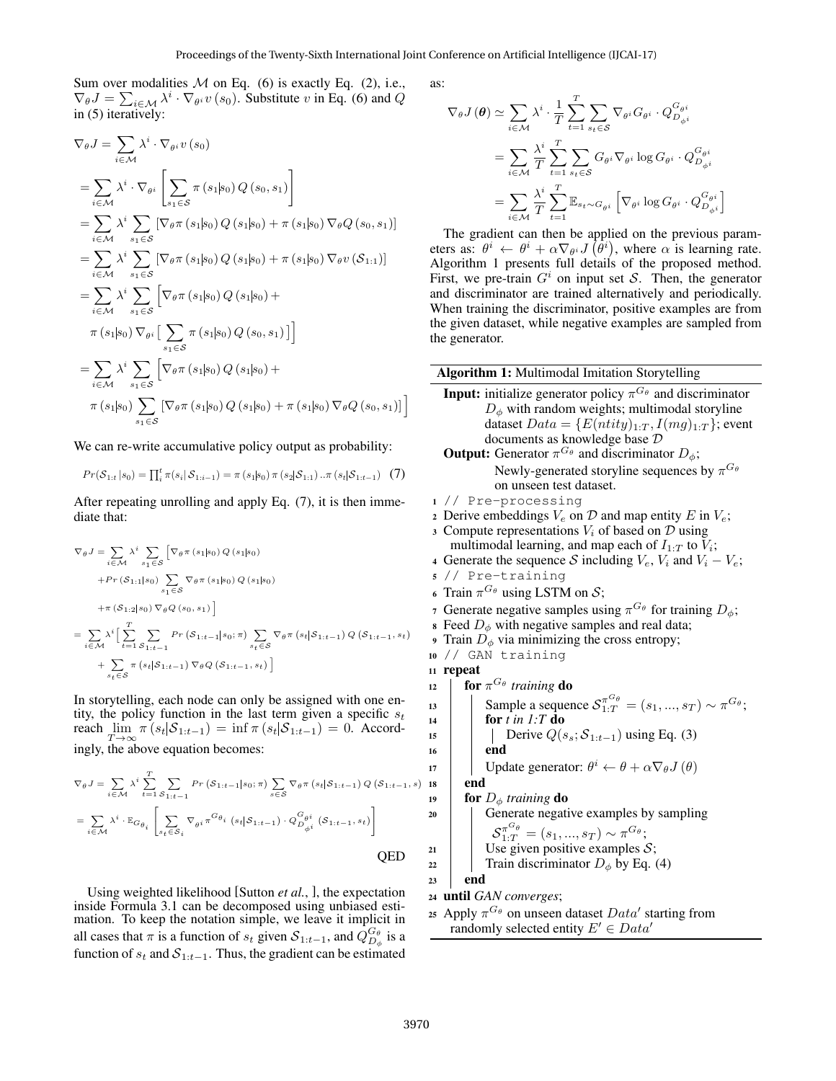Sum over modalities  $M$  on Eq. (6) is exactly Eq. (2), i.e.,  $\nabla_{\theta}J = \sum_{i \in \mathcal{M}} \lambda^i \cdot \nabla_{\theta^i} v(s_0)$ . Substitute v in Eq. (6) and Q in (5) iteratively:

$$
\nabla_{\theta} J = \sum_{i \in \mathcal{M}} \lambda^{i} \cdot \nabla_{\theta^{i}} v(s_{0})
$$
  
\n
$$
= \sum_{i \in \mathcal{M}} \lambda^{i} \cdot \nabla_{\theta^{i}} \left[ \sum_{s_{1} \in \mathcal{S}} \pi(s_{1}|s_{0}) Q(s_{0}, s_{1}) \right]
$$
  
\n
$$
= \sum_{i \in \mathcal{M}} \lambda^{i} \sum_{s_{1} \in \mathcal{S}} \left[ \nabla_{\theta} \pi(s_{1}|s_{0}) Q(s_{1}|s_{0}) + \pi(s_{1}|s_{0}) \nabla_{\theta} Q(s_{0}, s_{1}) \right]
$$
  
\n
$$
= \sum_{i \in \mathcal{M}} \lambda^{i} \sum_{s_{1} \in \mathcal{S}} \left[ \nabla_{\theta} \pi(s_{1}|s_{0}) Q(s_{1}|s_{0}) + \pi(s_{1}|s_{0}) \nabla_{\theta} v(S_{1:1}) \right]
$$
  
\n
$$
= \sum_{i \in \mathcal{M}} \lambda^{i} \sum_{s_{1} \in \mathcal{S}} \left[ \nabla_{\theta} \pi(s_{1}|s_{0}) Q(s_{1}|s_{0}) + \pi(s_{1}|s_{0}) \nabla_{\theta} v(S_{1:1}) \right]
$$
  
\n
$$
= \sum_{i \in \mathcal{M}} \lambda^{i} \sum_{s_{1} \in \mathcal{S}} \left[ \nabla_{\theta} \pi(s_{1}|s_{0}) Q(s_{1}|s_{0}) + \pi(s_{1}|s_{0}) \nabla_{\theta} Q(s_{0}, s_{1}) \right]
$$
  
\n
$$
\pi(s_{1}|s_{0}) \sum_{s_{1} \in \mathcal{S}} \left[ \nabla_{\theta} \pi(s_{1}|s_{0}) Q(s_{1}|s_{0}) + \pi(s_{1}|s_{0}) \nabla_{\theta} Q(s_{0}, s_{1}) \right]
$$

We can re-write accumulative policy output as probability:

$$
Pr(S_{1:t} | s_0) = \prod_{i}^{t} \pi(s_i | S_{1:i-1}) = \pi(s_1 | s_0) \pi(s_2 | S_{1:1}) \dots \pi(s_t | S_{1:t-1}) \quad (7)
$$

After repeating unrolling and apply Eq. (7), it is then immediate that:

$$
\nabla_{\theta} J = \sum_{i \in \mathcal{M}} \lambda^{i} \sum_{s_{1} \in \mathcal{S}} \left[ \nabla_{\theta} \pi (s_{1}|s_{0}) Q(s_{1}|s_{0}) \right.\n+ Pr(S_{1:1}|s_{0}) \sum_{s_{1} \in \mathcal{S}} \nabla_{\theta} \pi (s_{1}|s_{0}) Q(s_{1}|s_{0})\n+ \pi (S_{1:2}|s_{0}) \nabla_{\theta} Q(s_{0}, s_{1}) \right]\n= \sum_{i \in \mathcal{M}} \lambda^{i} \left[ \sum_{t=1}^{T} \sum_{S_{1:t-1}} Pr(S_{1:t-1}|s_{0}; \pi) \sum_{s_{t} \in \mathcal{S}} \nabla_{\theta} \pi (s_{t}|S_{1:t-1}) Q(S_{1:t-1}, s_{t}) + \sum_{s_{t} \in \mathcal{S}} \pi (s_{t}|S_{1:t-1}) \nabla_{\theta} Q(S_{1:t-1}, s_{t}) \right]
$$

In storytelling, each node can only be assigned with one entity, the policy function in the last term given a specific  $s_t$ reach  $\lim_{T \to \infty} \pi(s_t | S_{1:t-1}) = \inf \pi(s_t | S_{1:t-1}) = 0$ . Accordingly, the above equation becomes:

$$
\nabla_{\theta} J = \sum_{i \in \mathcal{M}} \lambda^{i} \sum_{t=1}^{T} \sum_{S_{1:t-1}} Pr(S_{1:t-1}|s_{0}; \pi) \sum_{s \in \mathcal{S}} \nabla_{\theta} \pi (s_{t}|S_{1:t-1}) Q(S_{1:t-1}, s)
$$
  
\n
$$
= \sum_{i \in \mathcal{M}} \lambda^{i} \cdot \mathbb{E}_{G_{\theta_{i}}} \left[ \sum_{s_{t} \in S_{i}} \nabla_{\theta^{i}} \pi^{G_{\theta_{i}}} (s_{t}|S_{1:t-1}) \cdot Q_{D_{\phi^{i}}}^{G_{\theta^{i}}} (S_{1:t-1}, s_{t}) \right]
$$
 QED

Using weighted likelihood [Sutton *et al.*, ], the expectation inside Formula 3.1 can be decomposed using unbiased estimation. To keep the notation simple, we leave it implicit in all cases that  $\pi$  is a function of  $s_t$  given  $S_{1:t-1}$ , and  $Q_{D_{\phi}}^{G_{\theta}}$  is a function of  $s_t$  and  $S_{1:t-1}$ . Thus, the gradient can be estimated as:

$$
\nabla_{\theta} J(\theta) \simeq \sum_{i \in \mathcal{M}} \lambda^{i} \cdot \frac{1}{T} \sum_{t=1}^{T} \sum_{s_{t} \in \mathcal{S}} \nabla_{\theta^{i}} G_{\theta^{i}} \cdot Q_{D_{\phi^{i}}}^{G_{\theta^{i}}}
$$

$$
= \sum_{i \in \mathcal{M}} \frac{\lambda^{i}}{T} \sum_{t=1}^{T} \sum_{s_{t} \in \mathcal{S}} G_{\theta^{i}} \nabla_{\theta^{i}} \log G_{\theta^{i}} \cdot Q_{D_{\phi^{i}}}^{G_{\theta^{i}}}
$$

$$
= \sum_{i \in \mathcal{M}} \frac{\lambda^{i}}{T} \sum_{t=1}^{T} \mathbb{E}_{s_{t} \sim G_{\theta^{i}}} \left[ \nabla_{\theta^{i}} \log G_{\theta^{i}} \cdot Q_{D_{\phi^{i}}}^{G_{\theta^{i}}} \right]
$$

The gradient can then be applied on the previous parameters as:  $\theta^i \leftarrow \theta^i + \alpha \nabla_{\theta^i} J(\bar{\theta}^i)$ , where  $\alpha$  is learning rate. Algorithm 1 presents full details of the proposed method. First, we pre-train  $G<sup>i</sup>$  on input set S. Then, the generator and discriminator are trained alternatively and periodically. When training the discriminator, positive examples are from the given dataset, while negative examples are sampled from the generator.

|                  | Algorithm 1: Multimodal Imitation Storytelling                                                                                                                                                                                                                                                                      |  |  |  |  |
|------------------|---------------------------------------------------------------------------------------------------------------------------------------------------------------------------------------------------------------------------------------------------------------------------------------------------------------------|--|--|--|--|
|                  | <b>Input:</b> initialize generator policy $\pi^{G_{\theta}}$ and discriminator<br>$D_{\phi}$ with random weights; multimodal storyline<br>dataset $Data = \{E(ntity)_{1:T}, I(mg)_{1:T}\}\;$ ; event<br>documents as knowledge base D<br><b>Output:</b> Generator $\pi^{G_{\theta}}$ and discriminator $D_{\phi}$ ; |  |  |  |  |
|                  | Newly-generated storyline sequences by $\pi^{G_{\theta}}$<br>on unseen test dataset.                                                                                                                                                                                                                                |  |  |  |  |
|                  | 1 // Pre-processing                                                                                                                                                                                                                                                                                                 |  |  |  |  |
|                  | 2 Derive embeddings $V_e$ on $D$ and map entity E in $V_e$ ;                                                                                                                                                                                                                                                        |  |  |  |  |
|                  | 3 Compute representations $V_i$ of based on $\mathcal D$ using                                                                                                                                                                                                                                                      |  |  |  |  |
|                  | multimodal learning, and map each of $I_{1:T}$ to $V_i$ ;                                                                                                                                                                                                                                                           |  |  |  |  |
|                  | 4 Generate the sequence S including $V_e$ , $V_i$ and $V_i - V_e$ ;                                                                                                                                                                                                                                                 |  |  |  |  |
|                  | 5 // Pre-training                                                                                                                                                                                                                                                                                                   |  |  |  |  |
|                  | 6 Train $\pi^{G_{\theta}}$ using LSTM on S;                                                                                                                                                                                                                                                                         |  |  |  |  |
|                  | 7 Generate negative samples using $\pi^{G_{\theta}}$ for training $D_{\phi}$ ;                                                                                                                                                                                                                                      |  |  |  |  |
|                  | s Feed $D_{\phi}$ with negative samples and real data;                                                                                                                                                                                                                                                              |  |  |  |  |
|                  | Train $D_{\phi}$ via minimizing the cross entropy;                                                                                                                                                                                                                                                                  |  |  |  |  |
|                  | 10 // GAN training                                                                                                                                                                                                                                                                                                  |  |  |  |  |
|                  | 11 repeat                                                                                                                                                                                                                                                                                                           |  |  |  |  |
| 12               | for $\pi^{G_{\theta}}$ training do                                                                                                                                                                                                                                                                                  |  |  |  |  |
| 13               | Sample a sequence $S^{\pi^{G_\theta}}_{1:T} = (s_1, , s_T) \sim \pi^{G_\theta};$                                                                                                                                                                                                                                    |  |  |  |  |
| 14               | for $t$ in $1:T$ do                                                                                                                                                                                                                                                                                                 |  |  |  |  |
| 15               | <b>Derive</b> $Q(s_s; S_{1:t-1})$ using Eq. (3)<br>end                                                                                                                                                                                                                                                              |  |  |  |  |
| 16               | Update generator: $\theta^i \leftarrow \theta + \alpha \nabla_{\theta} J(\theta)$                                                                                                                                                                                                                                   |  |  |  |  |
| 17               | end                                                                                                                                                                                                                                                                                                                 |  |  |  |  |
| 18<br>19         | for $D_{\phi}$ training do                                                                                                                                                                                                                                                                                          |  |  |  |  |
| 20               | Generate negative examples by sampling                                                                                                                                                                                                                                                                              |  |  |  |  |
|                  | ${\cal S}_{1:T}^{\pi^{G_{\theta}}}= (s_1,,s_T) \sim \pi^{G_{\theta}};$                                                                                                                                                                                                                                              |  |  |  |  |
| 21               | Use given positive examples $S$ ;                                                                                                                                                                                                                                                                                   |  |  |  |  |
| 22               | Train discriminator $D_{\phi}$ by Eq. (4)                                                                                                                                                                                                                                                                           |  |  |  |  |
| 23               | end                                                                                                                                                                                                                                                                                                                 |  |  |  |  |
| 24               | until GAN converges;                                                                                                                                                                                                                                                                                                |  |  |  |  |
| $25\overline{)}$ | Apply $\pi^{G_{\theta}}$ on unseen dataset $Data'$ starting from                                                                                                                                                                                                                                                    |  |  |  |  |
|                  | randomly selected entity $E' \in Data'$                                                                                                                                                                                                                                                                             |  |  |  |  |
|                  |                                                                                                                                                                                                                                                                                                                     |  |  |  |  |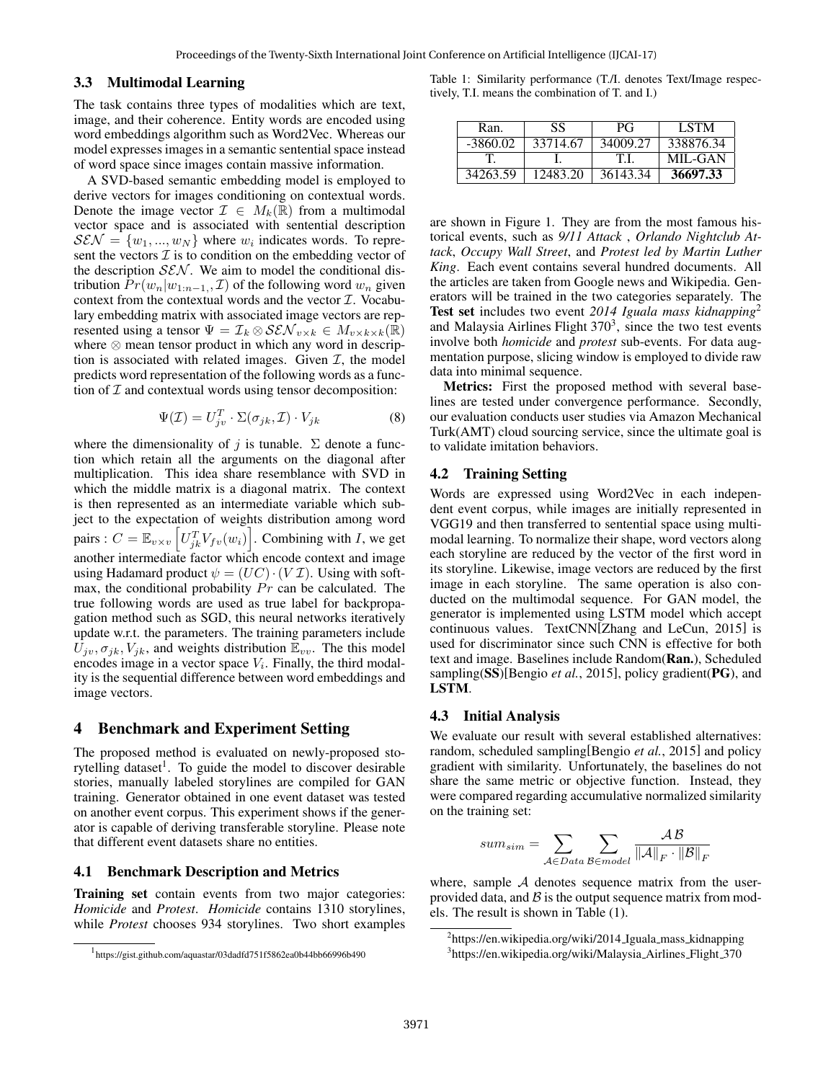#### 3.3 Multimodal Learning

The task contains three types of modalities which are text, image, and their coherence. Entity words are encoded using word embeddings algorithm such as Word2Vec. Whereas our model expresses images in a semantic sentential space instead of word space since images contain massive information.

A SVD-based semantic embedding model is employed to derive vectors for images conditioning on contextual words. Denote the image vector  $\mathcal{I} \in M_k(\mathbb{R})$  from a multimodal vector space and is associated with sentential description  $\mathcal{S}\mathcal{E}\mathcal{N} = \{w_1, ..., w_N\}$  where  $w_i$  indicates words. To represent the vectors  $\mathcal I$  is to condition on the embedding vector of the description  $SEN$ . We aim to model the conditional distribution  $Pr(w_n|w_{1:n-1}, \mathcal{I})$  of the following word  $w_n$  given context from the contextual words and the vector  $\mathcal{I}$ . Vocabulary embedding matrix with associated image vectors are represented using a tensor  $\Psi = \mathcal{I}_k \otimes \mathcal{SEN}_{v \times k} \in M_{v \times k \times k}(\mathbb{R})$ where ⊗ mean tensor product in which any word in description is associated with related images. Given  $I$ , the model predicts word representation of the following words as a function of  $I$  and contextual words using tensor decomposition:

$$
\Psi(\mathcal{I}) = U_{jv}^T \cdot \Sigma(\sigma_{jk}, \mathcal{I}) \cdot V_{jk} \tag{8}
$$

where the dimensionality of j is tunable.  $\Sigma$  denote a function which retain all the arguments on the diagonal after multiplication. This idea share resemblance with SVD in which the middle matrix is a diagonal matrix. The context is then represented as an intermediate variable which subject to the expectation of weights distribution among word pairs :  $C = \mathbb{E}_{v \times v} \left[ U_{jk}^T V_{fv}(w_i) \right]$ . Combining with *I*, we get another intermediate factor which encode context and image using Hadamard product  $\psi = (UC) \cdot (V \mathcal{I})$ . Using with softmax, the conditional probability  $Pr$  can be calculated. The true following words are used as true label for backpropagation method such as SGD, this neural networks iteratively update w.r.t. the parameters. The training parameters include  $U_{jv}, \sigma_{jk}, V_{jk}$ , and weights distribution  $\mathbb{E}_{vv}$ . The this model encodes image in a vector space  $V_i$ . Finally, the third modality is the sequential difference between word embeddings and image vectors.

## 4 Benchmark and Experiment Setting

The proposed method is evaluated on newly-proposed storytelling dataset<sup>1</sup>. To guide the model to discover desirable stories, manually labeled storylines are compiled for GAN training. Generator obtained in one event dataset was tested on another event corpus. This experiment shows if the generator is capable of deriving transferable storyline. Please note that different event datasets share no entities.

#### 4.1 Benchmark Description and Metrics

Training set contain events from two major categories: *Homicide* and *Protest*. *Homicide* contains 1310 storylines, while *Protest* chooses 934 storylines. Two short examples

Table 1: Similarity performance (T./I. denotes Text/Image respectively, T.I. means the combination of T. and I.)

| Ran.       | SS       | РG       | <b>LSTM</b> |
|------------|----------|----------|-------------|
| $-3860.02$ | 33714.67 | 34009.27 | 338876.34   |
|            |          | ТJ       | MIL-GAN     |
| 34263.59   | 12483.20 | 36143.34 | 36697.33    |

are shown in Figure 1. They are from the most famous historical events, such as *9/11 Attack* , *Orlando Nightclub Attack*, *Occupy Wall Street*, and *Protest led by Martin Luther King*. Each event contains several hundred documents. All the articles are taken from Google news and Wikipedia. Generators will be trained in the two categories separately. The Test set includes two event *2014 Iguala mass kidnapping*<sup>2</sup> and Malaysia Airlines Flight  $370<sup>3</sup>$ , since the two test events involve both *homicide* and *protest* sub-events. For data augmentation purpose, slicing window is employed to divide raw data into minimal sequence.

Metrics: First the proposed method with several baselines are tested under convergence performance. Secondly, our evaluation conducts user studies via Amazon Mechanical Turk(AMT) cloud sourcing service, since the ultimate goal is to validate imitation behaviors.

#### 4.2 Training Setting

Words are expressed using Word2Vec in each independent event corpus, while images are initially represented in VGG19 and then transferred to sentential space using multimodal learning. To normalize their shape, word vectors along each storyline are reduced by the vector of the first word in its storyline. Likewise, image vectors are reduced by the first image in each storyline. The same operation is also conducted on the multimodal sequence. For GAN model, the generator is implemented using LSTM model which accept continuous values. TextCNN[Zhang and LeCun, 2015] is used for discriminator since such CNN is effective for both text and image. Baselines include Random(Ran.), Scheduled sampling(SS)[Bengio *et al.*, 2015], policy gradient(PG), and LSTM.

#### 4.3 Initial Analysis

We evaluate our result with several established alternatives: random, scheduled sampling[Bengio *et al.*, 2015] and policy gradient with similarity. Unfortunately, the baselines do not share the same metric or objective function. Instead, they were compared regarding accumulative normalized similarity on the training set:

$$
sum_{sim} = \sum_{\mathcal{A} \in Data} \sum_{\mathcal{B} \in model} \frac{\mathcal{A}\mathcal{B}}{\|\mathcal{A}\|_F \cdot \|\mathcal{B}\|_F}
$$

where, sample  $A$  denotes sequence matrix from the userprovided data, and  $\beta$  is the output sequence matrix from models. The result is shown in Table (1).

<sup>1</sup> https://gist.github.com/aquastar/03dadfd751f5862ea0b44bb66996b490

<sup>&</sup>lt;sup>2</sup>https://en.wikipedia.org/wiki/2014\_Iguala\_mass\_kidnapping

<sup>&</sup>lt;sup>3</sup>https://en.wikipedia.org/wiki/Malaysia\_Airlines\_Flight\_370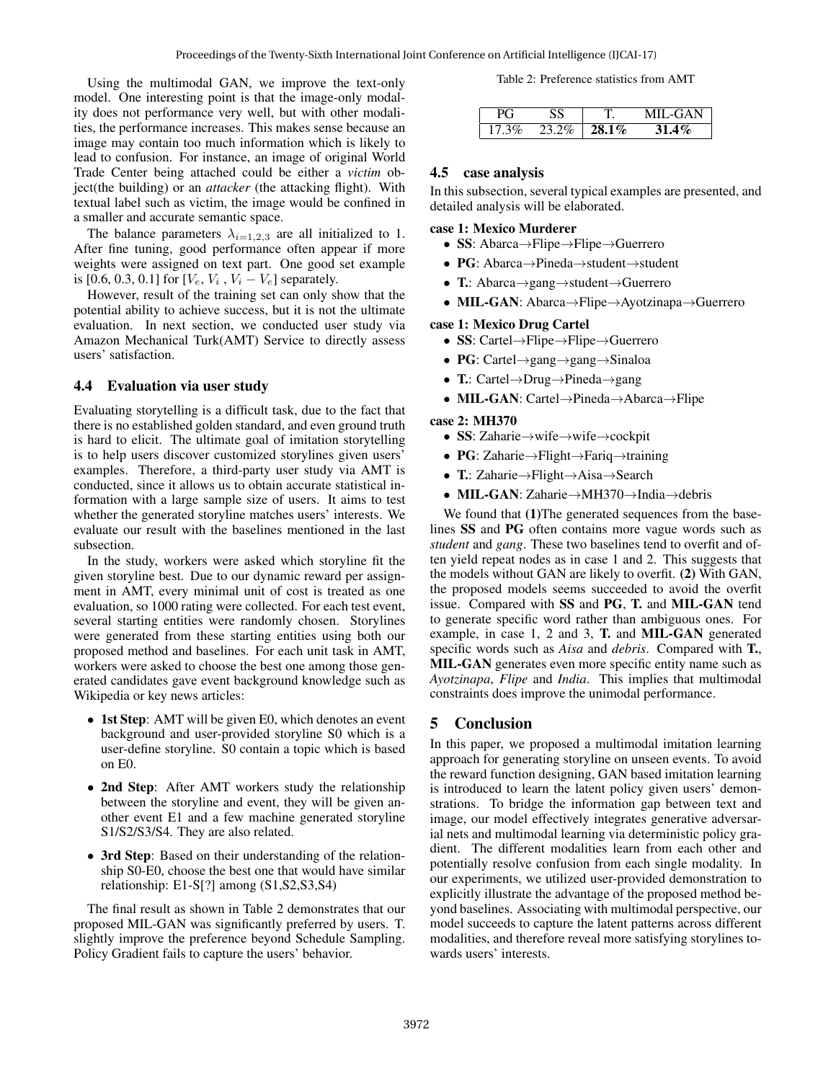Using the multimodal GAN, we improve the text-only model. One interesting point is that the image-only modality does not performance very well, but with other modalities, the performance increases. This makes sense because an image may contain too much information which is likely to lead to confusion. For instance, an image of original World Trade Center being attached could be either a *victim* object(the building) or an *attacker* (the attacking flight). With textual label such as victim, the image would be confined in a smaller and accurate semantic space.

The balance parameters  $\lambda_{i=1,2,3}$  are all initialized to 1. After fine tuning, good performance often appear if more weights were assigned on text part. One good set example is [0.6, 0.3, 0.1] for  $[V_e, V_i, V_i - V_e]$  separately.

However, result of the training set can only show that the potential ability to achieve success, but it is not the ultimate evaluation. In next section, we conducted user study via Amazon Mechanical Turk(AMT) Service to directly assess users' satisfaction.

## 4.4 Evaluation via user study

Evaluating storytelling is a difficult task, due to the fact that there is no established golden standard, and even ground truth is hard to elicit. The ultimate goal of imitation storytelling is to help users discover customized storylines given users' examples. Therefore, a third-party user study via AMT is conducted, since it allows us to obtain accurate statistical information with a large sample size of users. It aims to test whether the generated storyline matches users' interests. We evaluate our result with the baselines mentioned in the last subsection.

In the study, workers were asked which storyline fit the given storyline best. Due to our dynamic reward per assignment in AMT, every minimal unit of cost is treated as one evaluation, so 1000 rating were collected. For each test event, several starting entities were randomly chosen. Storylines were generated from these starting entities using both our proposed method and baselines. For each unit task in AMT, workers were asked to choose the best one among those generated candidates gave event background knowledge such as Wikipedia or key news articles:

- 1st Step: AMT will be given E0, which denotes an event background and user-provided storyline S0 which is a user-define storyline. S0 contain a topic which is based on E0.
- 2nd Step: After AMT workers study the relationship between the storyline and event, they will be given another event E1 and a few machine generated storyline S1/S2/S3/S4. They are also related.
- 3rd Step: Based on their understanding of the relationship S0-E0, choose the best one that would have similar relationship: E1-S[?] among (S1,S2,S3,S4)

The final result as shown in Table 2 demonstrates that our proposed MIL-GAN was significantly preferred by users. T. slightly improve the preference beyond Schedule Sampling. Policy Gradient fails to capture the users' behavior.

Table 2: Preference statistics from AMT

|        | $\tilde{\phantom{a}}$ | ı.       | III "GAN |
|--------|-----------------------|----------|----------|
| $.3\%$ | - 14 -                | $28.1\%$ | $\phi$   |

#### 4.5 case analysis

In this subsection, several typical examples are presented, and detailed analysis will be elaborated.

#### case 1: Mexico Murderer

- SS: Abarca→Flipe→Flipe→Guerrero
- PG: Abarca→Pineda→student→student
- T.: Abarca→gang→student→Guerrero
- MIL-GAN: Abarca→Flipe→Ayotzinapa→Guerrero

#### case 1: Mexico Drug Cartel

- SS: Cartel→Flipe→Flipe→Guerrero
- PG: Cartel→gang→gang→Sinaloa
- T.: Cartel→Drug→Pineda→gang
- MIL-GAN: Cartel→Pineda→Abarca→Flipe

#### case 2: MH370

- SS: Zaharie→wife→wife→cockpit
- PG: Zaharie→Flight→Fariq→training
- T.: Zaharie→Flight→Aisa→Search
- MIL-GAN: Zaharie→MH370→India→debris

We found that (1)The generated sequences from the baselines SS and PG often contains more vague words such as *student* and *gang*. These two baselines tend to overfit and often yield repeat nodes as in case 1 and 2. This suggests that the models without GAN are likely to overfit. (2) With GAN, the proposed models seems succeeded to avoid the overfit issue. Compared with SS and PG, T. and MIL-GAN tend to generate specific word rather than ambiguous ones. For example, in case 1, 2 and 3, T. and MIL-GAN generated specific words such as *Aisa* and *debris*. Compared with T., MIL-GAN generates even more specific entity name such as *Ayotzinapa*, *Flipe* and *India*. This implies that multimodal constraints does improve the unimodal performance.

#### 5 Conclusion

In this paper, we proposed a multimodal imitation learning approach for generating storyline on unseen events. To avoid the reward function designing, GAN based imitation learning is introduced to learn the latent policy given users' demonstrations. To bridge the information gap between text and image, our model effectively integrates generative adversarial nets and multimodal learning via deterministic policy gradient. The different modalities learn from each other and potentially resolve confusion from each single modality. In our experiments, we utilized user-provided demonstration to explicitly illustrate the advantage of the proposed method beyond baselines. Associating with multimodal perspective, our model succeeds to capture the latent patterns across different modalities, and therefore reveal more satisfying storylines towards users' interests.